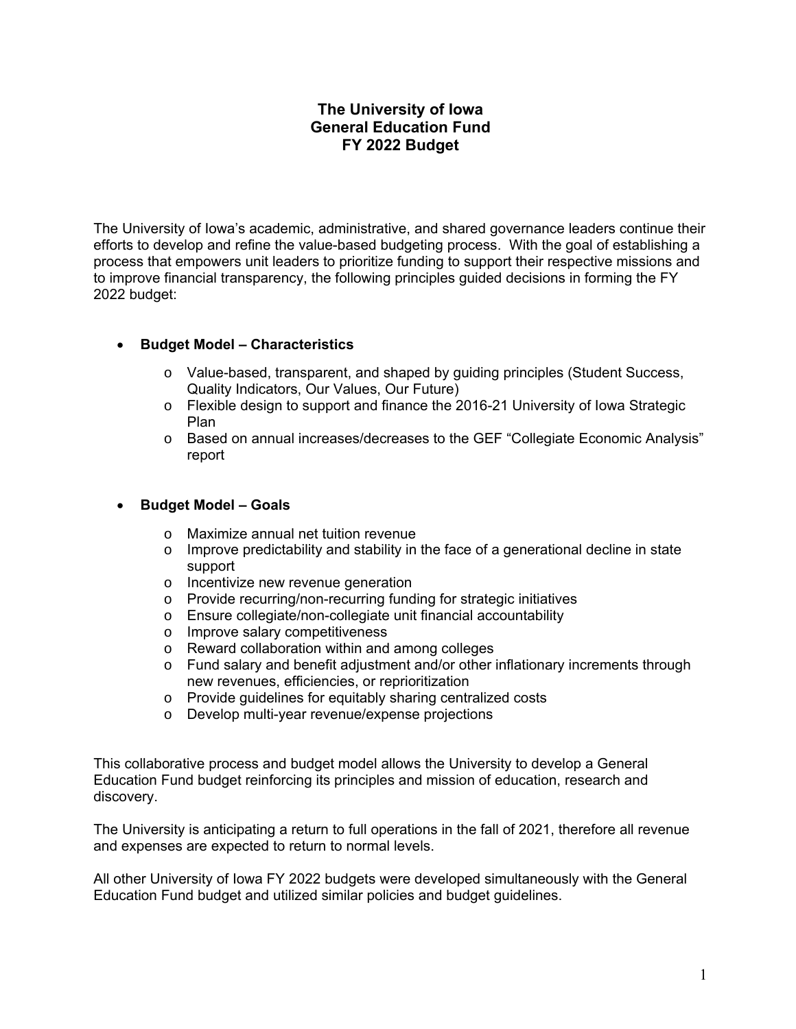## **The University of Iowa General Education Fund FY 2022 Budget**

The University of Iowa's academic, administrative, and shared governance leaders continue their efforts to develop and refine the value-based budgeting process. With the goal of establishing a process that empowers unit leaders to prioritize funding to support their respective missions and to improve financial transparency, the following principles guided decisions in forming the FY 2022 budget:

## **Budget Model – Characteristics**

- o Value-based, transparent, and shaped by guiding principles (Student Success, Quality Indicators, Our Values, Our Future)
- o Flexible design to support and finance the 2016-21 University of Iowa Strategic Plan
- o Based on annual increases/decreases to the GEF "Collegiate Economic Analysis" report

## **Budget Model – Goals**

- o Maximize annual net tuition revenue
- o Improve predictability and stability in the face of a generational decline in state support
- o Incentivize new revenue generation
- o Provide recurring/non-recurring funding for strategic initiatives
- o Ensure collegiate/non-collegiate unit financial accountability
- o Improve salary competitiveness
- o Reward collaboration within and among colleges
- o Fund salary and benefit adjustment and/or other inflationary increments through new revenues, efficiencies, or reprioritization
- o Provide guidelines for equitably sharing centralized costs
- o Develop multi-year revenue/expense projections

This collaborative process and budget model allows the University to develop a General Education Fund budget reinforcing its principles and mission of education, research and discovery.

The University is anticipating a return to full operations in the fall of 2021, therefore all revenue and expenses are expected to return to normal levels.

All other University of Iowa FY 2022 budgets were developed simultaneously with the General Education Fund budget and utilized similar policies and budget guidelines.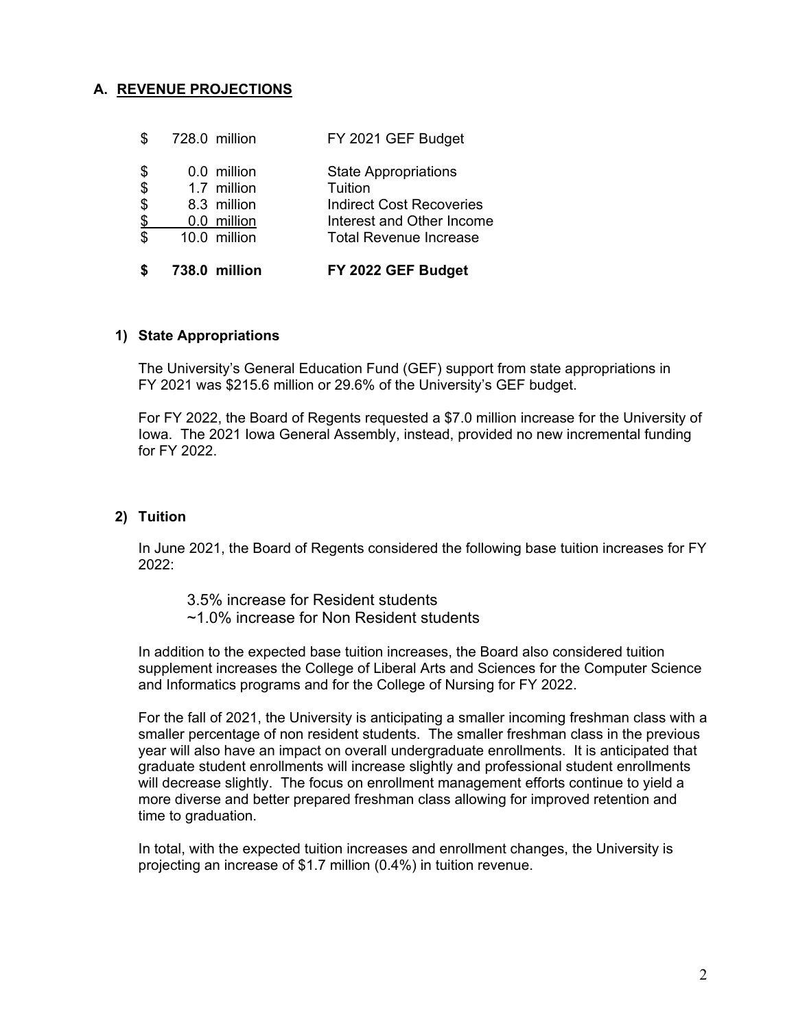## **A. REVENUE PROJECTIONS**

|                            | 738.0 million | FY 2022 GEF Budget              |
|----------------------------|---------------|---------------------------------|
| \$                         | 10.0 million  | <b>Total Revenue Increase</b>   |
| $\frac{1}{2}$              | 0.0 million   | Interest and Other Income       |
| $\boldsymbol{\theta}$      | 8.3 million   | <b>Indirect Cost Recoveries</b> |
| $\boldsymbol{\mathsf{\$}}$ | 1.7 million   | Tuition                         |
| \$                         | 0.0 million   | <b>State Appropriations</b>     |
| \$                         | 728.0 million | FY 2021 GEF Budget              |

#### **1) State Appropriations**

The University's General Education Fund (GEF) support from state appropriations in FY 2021 was \$215.6 million or 29.6% of the University's GEF budget.

For FY 2022, the Board of Regents requested a \$7.0 million increase for the University of Iowa. The 2021 Iowa General Assembly, instead, provided no new incremental funding for FY 2022.

#### **2) Tuition**

In June 2021, the Board of Regents considered the following base tuition increases for FY 2022:

- 3.5% increase for Resident students
- ~1.0% increase for Non Resident students

In addition to the expected base tuition increases, the Board also considered tuition supplement increases the College of Liberal Arts and Sciences for the Computer Science and Informatics programs and for the College of Nursing for FY 2022.

For the fall of 2021, the University is anticipating a smaller incoming freshman class with a smaller percentage of non resident students. The smaller freshman class in the previous year will also have an impact on overall undergraduate enrollments. It is anticipated that graduate student enrollments will increase slightly and professional student enrollments will decrease slightly. The focus on enrollment management efforts continue to yield a more diverse and better prepared freshman class allowing for improved retention and time to graduation.

In total, with the expected tuition increases and enrollment changes, the University is projecting an increase of \$1.7 million (0.4%) in tuition revenue.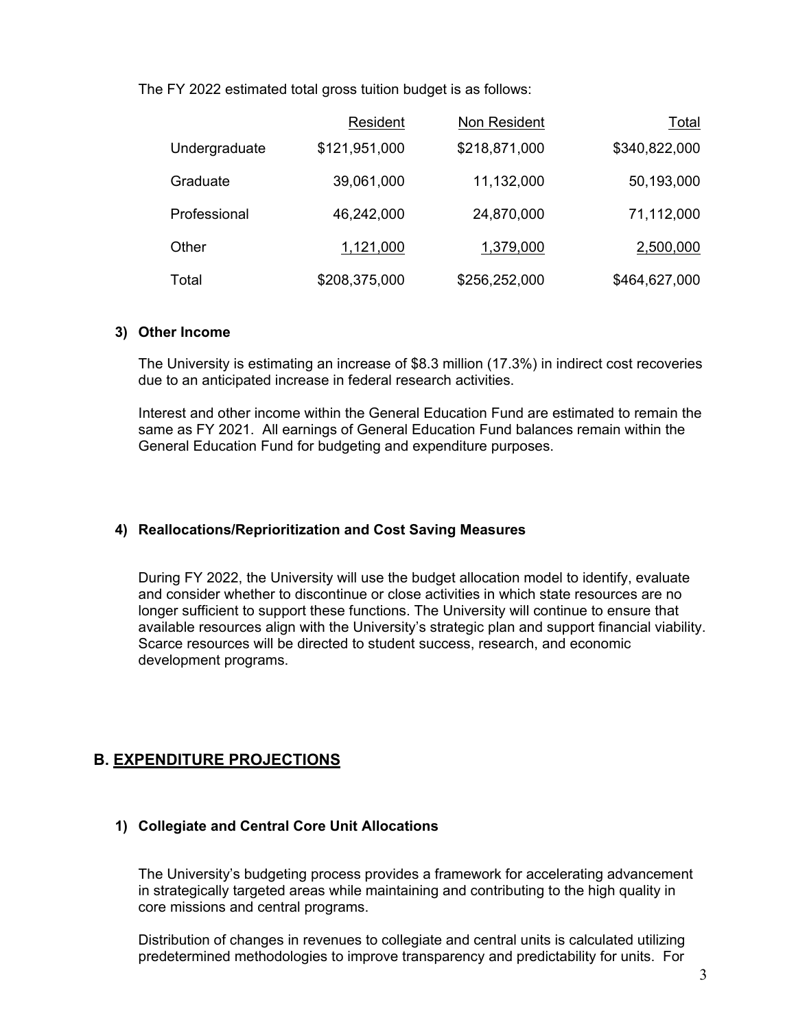The FY 2022 estimated total gross tuition budget is as follows:

|               | Resident      | Non Resident  | Total         |
|---------------|---------------|---------------|---------------|
| Undergraduate | \$121,951,000 | \$218,871,000 | \$340,822,000 |
| Graduate      | 39,061,000    | 11,132,000    | 50,193,000    |
| Professional  | 46,242,000    | 24,870,000    | 71,112,000    |
| Other         | 1,121,000     | 1,379,000     | 2,500,000     |
| Total         | \$208,375,000 | \$256,252,000 | \$464,627,000 |

#### **3) Other Income**

The University is estimating an increase of \$8.3 million (17.3%) in indirect cost recoveries due to an anticipated increase in federal research activities.

Interest and other income within the General Education Fund are estimated to remain the same as FY 2021. All earnings of General Education Fund balances remain within the General Education Fund for budgeting and expenditure purposes.

## **4) Reallocations/Reprioritization and Cost Saving Measures**

During FY 2022, the University will use the budget allocation model to identify, evaluate and consider whether to discontinue or close activities in which state resources are no longer sufficient to support these functions. The University will continue to ensure that available resources align with the University's strategic plan and support financial viability. Scarce resources will be directed to student success, research, and economic development programs.

# **B. EXPENDITURE PROJECTIONS**

## **1) Collegiate and Central Core Unit Allocations**

The University's budgeting process provides a framework for accelerating advancement in strategically targeted areas while maintaining and contributing to the high quality in core missions and central programs.

Distribution of changes in revenues to collegiate and central units is calculated utilizing predetermined methodologies to improve transparency and predictability for units. For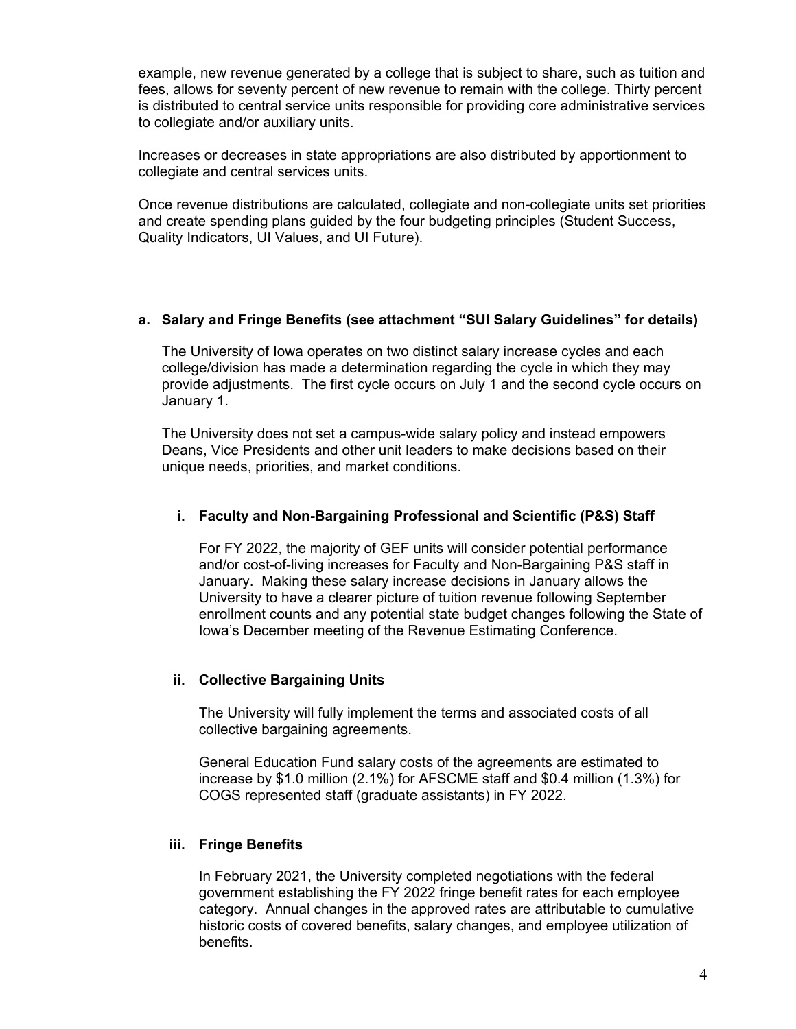example, new revenue generated by a college that is subject to share, such as tuition and fees, allows for seventy percent of new revenue to remain with the college. Thirty percent is distributed to central service units responsible for providing core administrative services to collegiate and/or auxiliary units.

Increases or decreases in state appropriations are also distributed by apportionment to collegiate and central services units.

Once revenue distributions are calculated, collegiate and non-collegiate units set priorities and create spending plans guided by the four budgeting principles (Student Success, Quality Indicators, UI Values, and UI Future).

## **a. Salary and Fringe Benefits (see attachment "SUI Salary Guidelines" for details)**

The University of Iowa operates on two distinct salary increase cycles and each college/division has made a determination regarding the cycle in which they may provide adjustments. The first cycle occurs on July 1 and the second cycle occurs on January 1.

The University does not set a campus-wide salary policy and instead empowers Deans, Vice Presidents and other unit leaders to make decisions based on their unique needs, priorities, and market conditions.

#### **i. Faculty and Non-Bargaining Professional and Scientific (P&S) Staff**

For FY 2022, the majority of GEF units will consider potential performance and/or cost-of-living increases for Faculty and Non-Bargaining P&S staff in January. Making these salary increase decisions in January allows the University to have a clearer picture of tuition revenue following September enrollment counts and any potential state budget changes following the State of Iowa's December meeting of the Revenue Estimating Conference.

#### **ii. Collective Bargaining Units**

The University will fully implement the terms and associated costs of all collective bargaining agreements.

General Education Fund salary costs of the agreements are estimated to increase by \$1.0 million (2.1%) for AFSCME staff and \$0.4 million (1.3%) for COGS represented staff (graduate assistants) in FY 2022.

#### **iii. Fringe Benefits**

In February 2021, the University completed negotiations with the federal government establishing the FY 2022 fringe benefit rates for each employee category. Annual changes in the approved rates are attributable to cumulative historic costs of covered benefits, salary changes, and employee utilization of benefits.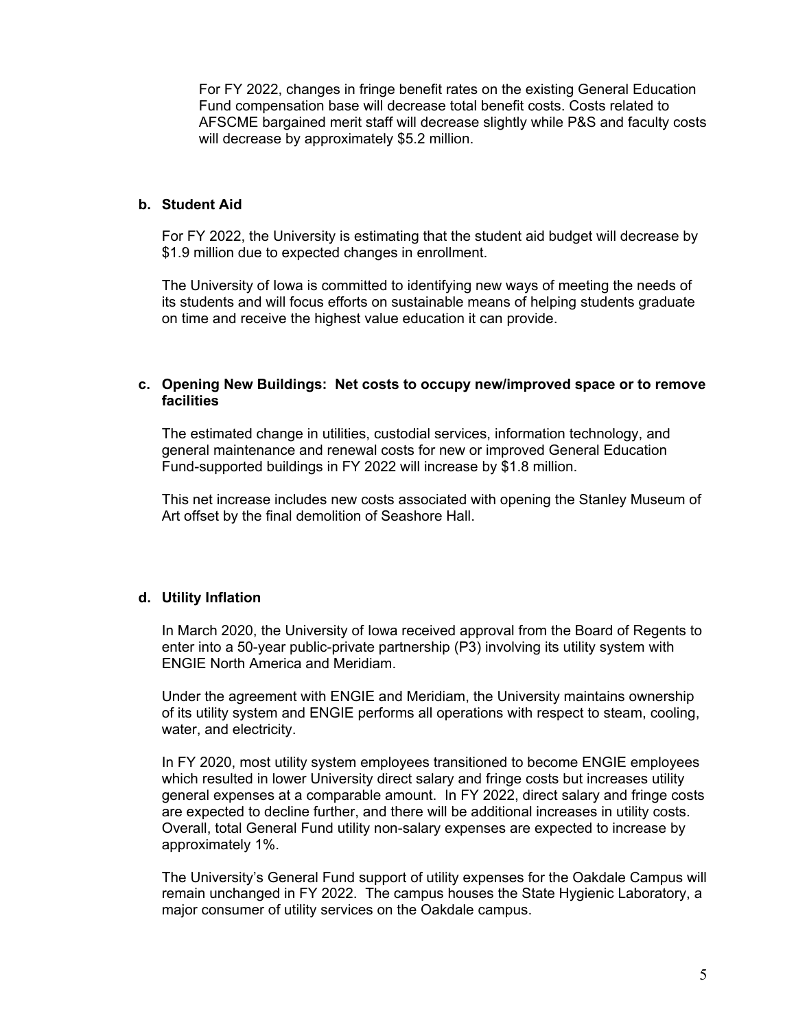For FY 2022, changes in fringe benefit rates on the existing General Education Fund compensation base will decrease total benefit costs. Costs related to AFSCME bargained merit staff will decrease slightly while P&S and faculty costs will decrease by approximately \$5.2 million.

#### **b. Student Aid**

For FY 2022, the University is estimating that the student aid budget will decrease by \$1.9 million due to expected changes in enrollment.

The University of Iowa is committed to identifying new ways of meeting the needs of its students and will focus efforts on sustainable means of helping students graduate on time and receive the highest value education it can provide.

#### **c. Opening New Buildings: Net costs to occupy new/improved space or to remove facilities**

The estimated change in utilities, custodial services, information technology, and general maintenance and renewal costs for new or improved General Education Fund-supported buildings in FY 2022 will increase by \$1.8 million.

This net increase includes new costs associated with opening the Stanley Museum of Art offset by the final demolition of Seashore Hall.

## **d. Utility Inflation**

In March 2020, the University of Iowa received approval from the Board of Regents to enter into a 50-year public-private partnership (P3) involving its utility system with ENGIE North America and Meridiam.

Under the agreement with ENGIE and Meridiam, the University maintains ownership of its utility system and ENGIE performs all operations with respect to steam, cooling, water, and electricity.

In FY 2020, most utility system employees transitioned to become ENGIE employees which resulted in lower University direct salary and fringe costs but increases utility general expenses at a comparable amount. In FY 2022, direct salary and fringe costs are expected to decline further, and there will be additional increases in utility costs. Overall, total General Fund utility non-salary expenses are expected to increase by approximately 1%.

The University's General Fund support of utility expenses for the Oakdale Campus will remain unchanged in FY 2022. The campus houses the State Hygienic Laboratory, a major consumer of utility services on the Oakdale campus.